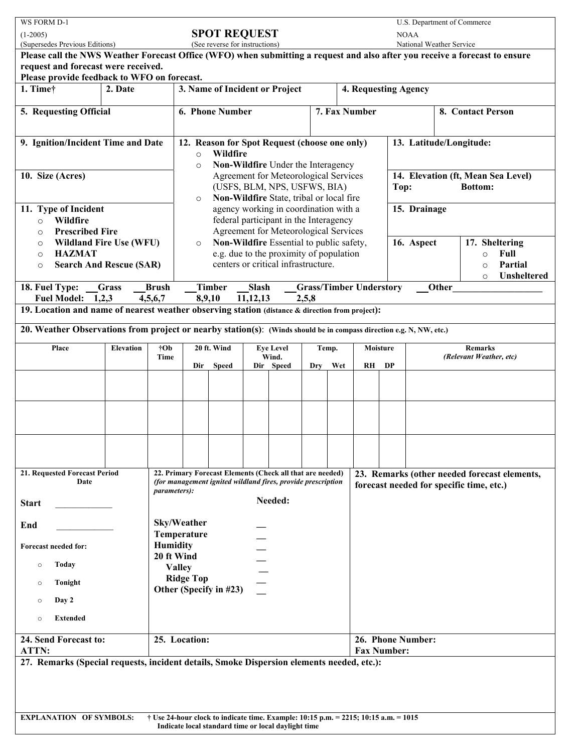| WS FORM D-1                                                                                                                                                                  |                                            |                                                                                                                                                  |                                                                                                |              |          |           |       |                   | U.S. Department of Commerce                                  |                                         |    |                                           |  |         |                                              |
|------------------------------------------------------------------------------------------------------------------------------------------------------------------------------|--------------------------------------------|--------------------------------------------------------------------------------------------------------------------------------------------------|------------------------------------------------------------------------------------------------|--------------|----------|-----------|-------|-------------------|--------------------------------------------------------------|-----------------------------------------|----|-------------------------------------------|--|---------|----------------------------------------------|
| <b>SPOT REQUEST</b><br>$(1-2005)$<br>(Supersedes Previous Editions)<br>(See reverse for instructions)                                                                        |                                            |                                                                                                                                                  |                                                                                                |              |          |           |       |                   |                                                              | <b>NOAA</b><br>National Weather Service |    |                                           |  |         |                                              |
| Please call the NWS Weather Forecast Office (WFO) when submitting a request and also after you receive a forecast to ensure                                                  |                                            |                                                                                                                                                  |                                                                                                |              |          |           |       |                   |                                                              |                                         |    |                                           |  |         |                                              |
| request and forecast were received.<br>Please provide feedback to WFO on forecast.                                                                                           |                                            |                                                                                                                                                  |                                                                                                |              |          |           |       |                   |                                                              |                                         |    |                                           |  |         |                                              |
| 1. Timet                                                                                                                                                                     | 2. Date                                    |                                                                                                                                                  | 3. Name of Incident or Project                                                                 |              |          |           |       |                   |                                                              | 4. Requesting Agency                    |    |                                           |  |         |                                              |
| 5. Requesting Official                                                                                                                                                       |                                            | 6. Phone Number<br>7. Fax Number                                                                                                                 |                                                                                                |              |          |           |       |                   | 8. Contact Person                                            |                                         |    |                                           |  |         |                                              |
|                                                                                                                                                                              |                                            |                                                                                                                                                  |                                                                                                |              |          |           |       |                   |                                                              |                                         |    |                                           |  |         |                                              |
| 9. Ignition/Incident Time and Date                                                                                                                                           |                                            | 12. Reason for Spot Request (choose one only)<br>Wildfire                                                                                        |                                                                                                |              |          |           |       |                   | 13. Latitude/Longitude:                                      |                                         |    |                                           |  |         |                                              |
|                                                                                                                                                                              |                                            | $\circ$<br>Non-Wildfire Under the Interagency<br>$\circ$                                                                                         |                                                                                                |              |          |           |       |                   |                                                              |                                         |    |                                           |  |         |                                              |
| 10. Size (Acres)                                                                                                                                                             |                                            | Agreement for Meteorological Services<br>(USFS, BLM, NPS, USFWS, BIA)                                                                            |                                                                                                |              |          |           |       |                   | 14. Elevation (ft, Mean Sea Level)<br>Top:<br><b>Bottom:</b> |                                         |    |                                           |  |         |                                              |
|                                                                                                                                                                              |                                            |                                                                                                                                                  | Non-Wildfire State, tribal or local fire<br>$\circ$                                            |              |          |           |       |                   |                                                              |                                         |    |                                           |  |         |                                              |
| 11. Type of Incident<br>Wildfire<br>$\circ$                                                                                                                                  |                                            |                                                                                                                                                  | agency working in coordination with a<br>federal participant in the Interagency                |              |          |           |       |                   |                                                              | 15. Drainage                            |    |                                           |  |         |                                              |
| <b>Prescribed Fire</b><br>$\circ$                                                                                                                                            |                                            |                                                                                                                                                  | Agreement for Meteorological Services                                                          |              |          |           |       |                   |                                                              |                                         |    |                                           |  |         |                                              |
| <b>Wildland Fire Use (WFU)</b><br>$\circ$<br><b>HAZMAT</b><br>$\circ$                                                                                                        |                                            |                                                                                                                                                  | Non-Wildfire Essential to public safety,<br>$\circ$<br>e.g. due to the proximity of population |              |          |           |       |                   |                                                              | 16. Aspect<br>17. Sheltering<br>$\circ$ |    |                                           |  |         | Full                                         |
| <b>Search And Rescue (SAR)</b><br>$\circ$                                                                                                                                    |                                            |                                                                                                                                                  | centers or critical infrastructure.                                                            |              |          |           |       |                   |                                                              |                                         |    |                                           |  | $\circ$ | Partial                                      |
| <b>Unsheltered</b><br>$\circ$<br><b>Grass</b><br><b>Brush</b><br><b>Timber</b><br><b>Grass/Timber Understory</b><br>18. Fuel Type:<br><b>Slash</b><br>Other                  |                                            |                                                                                                                                                  |                                                                                                |              |          |           |       |                   |                                                              |                                         |    |                                           |  |         |                                              |
| Fuel Model: 1,2,3                                                                                                                                                            |                                            | 4,5,6,7                                                                                                                                          |                                                                                                | 8,9,10       | 11,12,13 |           | 2,5,8 |                   |                                                              |                                         |    |                                           |  |         |                                              |
| 19. Location and name of nearest weather observing station (distance & direction from project):                                                                              |                                            |                                                                                                                                                  |                                                                                                |              |          |           |       |                   |                                                              |                                         |    |                                           |  |         |                                              |
| 20. Weather Observations from project or nearby station(s): (Winds should be in compass direction e.g. N, NW, etc.)                                                          |                                            |                                                                                                                                                  |                                                                                                |              |          |           |       |                   |                                                              |                                         |    |                                           |  |         |                                              |
| Place<br><b>Elevation</b><br>†Ob<br>Time                                                                                                                                     |                                            |                                                                                                                                                  | 20 ft. Wind<br><b>Eye Level</b><br>Wind.                                                       |              |          |           |       | Moisture<br>Temp. |                                                              |                                         |    | <b>Remarks</b><br>(Relevant Weather, etc) |  |         |                                              |
|                                                                                                                                                                              |                                            |                                                                                                                                                  | Dir                                                                                            | <b>Speed</b> |          | Dir Speed | Dry   |                   | Wet                                                          | $R$ H                                   | DP |                                           |  |         |                                              |
|                                                                                                                                                                              |                                            |                                                                                                                                                  |                                                                                                |              |          |           |       |                   |                                                              |                                         |    |                                           |  |         |                                              |
|                                                                                                                                                                              |                                            |                                                                                                                                                  |                                                                                                |              |          |           |       |                   |                                                              |                                         |    |                                           |  |         |                                              |
|                                                                                                                                                                              |                                            |                                                                                                                                                  |                                                                                                |              |          |           |       |                   |                                                              |                                         |    |                                           |  |         |                                              |
|                                                                                                                                                                              |                                            |                                                                                                                                                  |                                                                                                |              |          |           |       |                   |                                                              |                                         |    |                                           |  |         |                                              |
|                                                                                                                                                                              |                                            |                                                                                                                                                  |                                                                                                |              |          |           |       |                   |                                                              |                                         |    |                                           |  |         |                                              |
| 21. Requested Forecast Period                                                                                                                                                |                                            |                                                                                                                                                  |                                                                                                |              |          |           |       |                   |                                                              |                                         |    |                                           |  |         | 23. Remarks (other needed forecast elements, |
| Date                                                                                                                                                                         |                                            | 22. Primary Forecast Elements (Check all that are needed)<br>(for management ignited wildland fires, provide prescription<br><i>parameters):</i> |                                                                                                |              |          |           |       |                   | forecast needed for specific time, etc.)                     |                                         |    |                                           |  |         |                                              |
| <b>Start</b>                                                                                                                                                                 |                                            |                                                                                                                                                  | Needed:                                                                                        |              |          |           |       |                   |                                                              |                                         |    |                                           |  |         |                                              |
| End                                                                                                                                                                          |                                            | Sky/Weather                                                                                                                                      |                                                                                                |              |          |           |       |                   |                                                              |                                         |    |                                           |  |         |                                              |
|                                                                                                                                                                              |                                            |                                                                                                                                                  | Temperature                                                                                    |              |          |           |       |                   |                                                              |                                         |    |                                           |  |         |                                              |
| <b>Forecast needed for:</b>                                                                                                                                                  |                                            | <b>Humidity</b><br>20 ft Wind                                                                                                                    |                                                                                                |              |          |           |       |                   |                                                              |                                         |    |                                           |  |         |                                              |
| <b>Today</b><br>$\circ$                                                                                                                                                      | <b>Valley</b>                              |                                                                                                                                                  |                                                                                                |              |          |           |       |                   |                                                              |                                         |    |                                           |  |         |                                              |
| Tonight<br>$\circ$                                                                                                                                                           | <b>Ridge Top</b><br>Other (Specify in #23) |                                                                                                                                                  |                                                                                                |              |          |           |       |                   |                                                              |                                         |    |                                           |  |         |                                              |
| Day 2<br>$\circ$                                                                                                                                                             |                                            |                                                                                                                                                  |                                                                                                |              |          |           |       |                   |                                                              |                                         |    |                                           |  |         |                                              |
| <b>Extended</b><br>$\circ$                                                                                                                                                   |                                            |                                                                                                                                                  |                                                                                                |              |          |           |       |                   |                                                              |                                         |    |                                           |  |         |                                              |
| 25. Location:<br>24. Send Forecast to:                                                                                                                                       |                                            |                                                                                                                                                  |                                                                                                |              |          |           |       |                   | 26. Phone Number:                                            |                                         |    |                                           |  |         |                                              |
| ATTN:                                                                                                                                                                        |                                            |                                                                                                                                                  |                                                                                                |              |          |           |       |                   | <b>Fax Number:</b>                                           |                                         |    |                                           |  |         |                                              |
| 27. Remarks (Special requests, incident details, Smoke Dispersion elements needed, etc.):                                                                                    |                                            |                                                                                                                                                  |                                                                                                |              |          |           |       |                   |                                                              |                                         |    |                                           |  |         |                                              |
|                                                                                                                                                                              |                                            |                                                                                                                                                  |                                                                                                |              |          |           |       |                   |                                                              |                                         |    |                                           |  |         |                                              |
|                                                                                                                                                                              |                                            |                                                                                                                                                  |                                                                                                |              |          |           |       |                   |                                                              |                                         |    |                                           |  |         |                                              |
| <b>EXPLANATION OF SYMBOLS:</b><br>† Use 24-hour clock to indicate time. Example: 10:15 p.m. = 2215; 10:15 a.m. = 1015<br>Indicate local standard time or local daylight time |                                            |                                                                                                                                                  |                                                                                                |              |          |           |       |                   |                                                              |                                         |    |                                           |  |         |                                              |